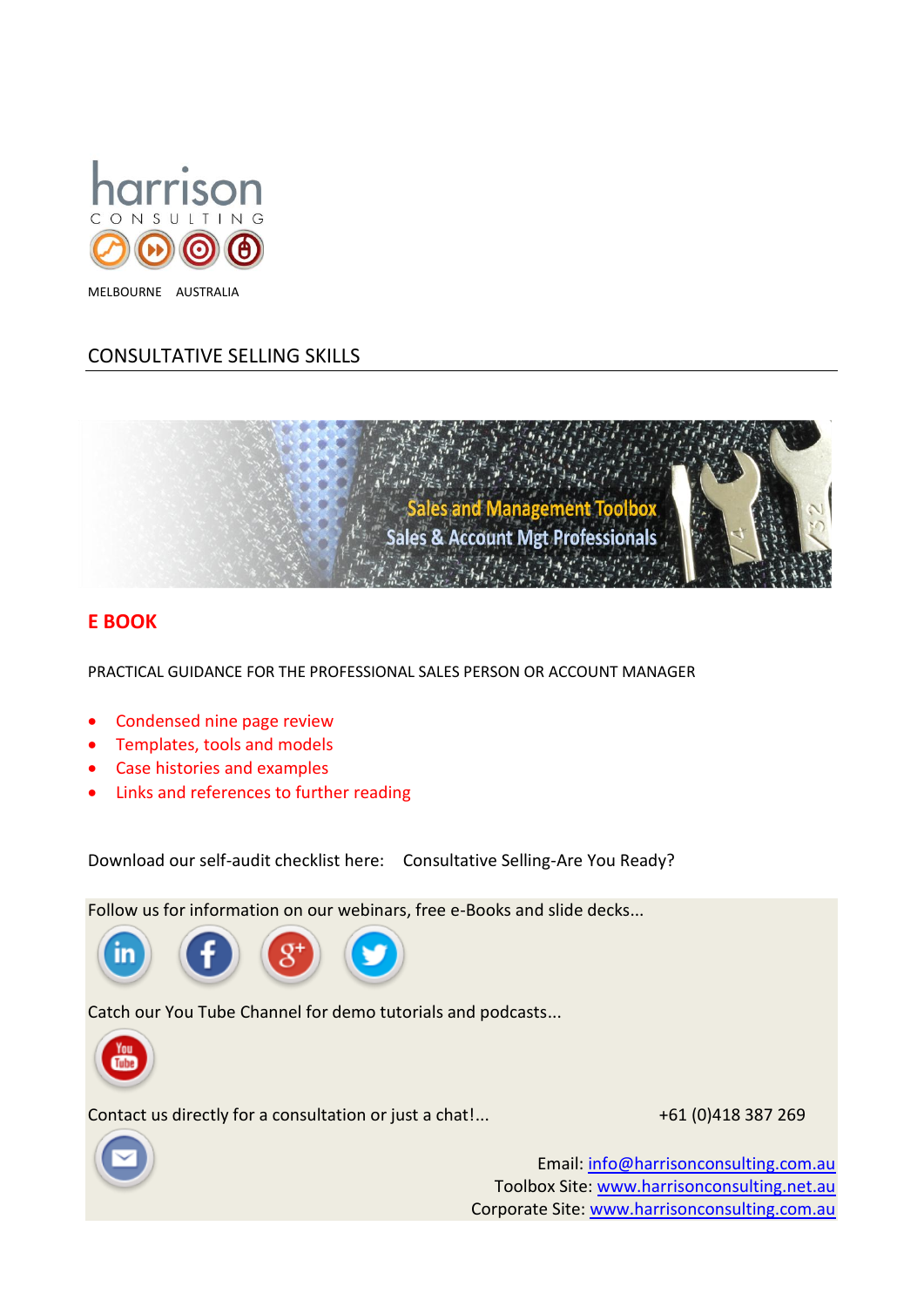

# CONSULTATIVE SELLING SKILLS



# **E BOOK**

PRACTICAL GUIDANCE FOR THE PROFESSIONAL SALES PERSON OR ACCOUNT MANAGER

- Condensed nine page review
- Templates, tools and models
- Case histories and examples
- Links and references to further reading

Download our self-audit checklist here: Consultative Selling-Are You Ready?

Follow us for information on our webinars, free e-Books and slide decks...



Catch our You Tube Channel for demo tutorials and podcasts...



Contact us directly for a consultation or just a chat!...  $+61 (0)418 387 269$ 



Email: [info@harrisonconsulting.com.au](mailto:info@harrisonconsulting.com.au) Toolbox Site: [www.harrisonconsulting.net.au](http://www.harrisonconsulting.net.au/) Corporate Site: [www.harrisonconsulting.com.au](http://www.harrisonconsulting.com.au/)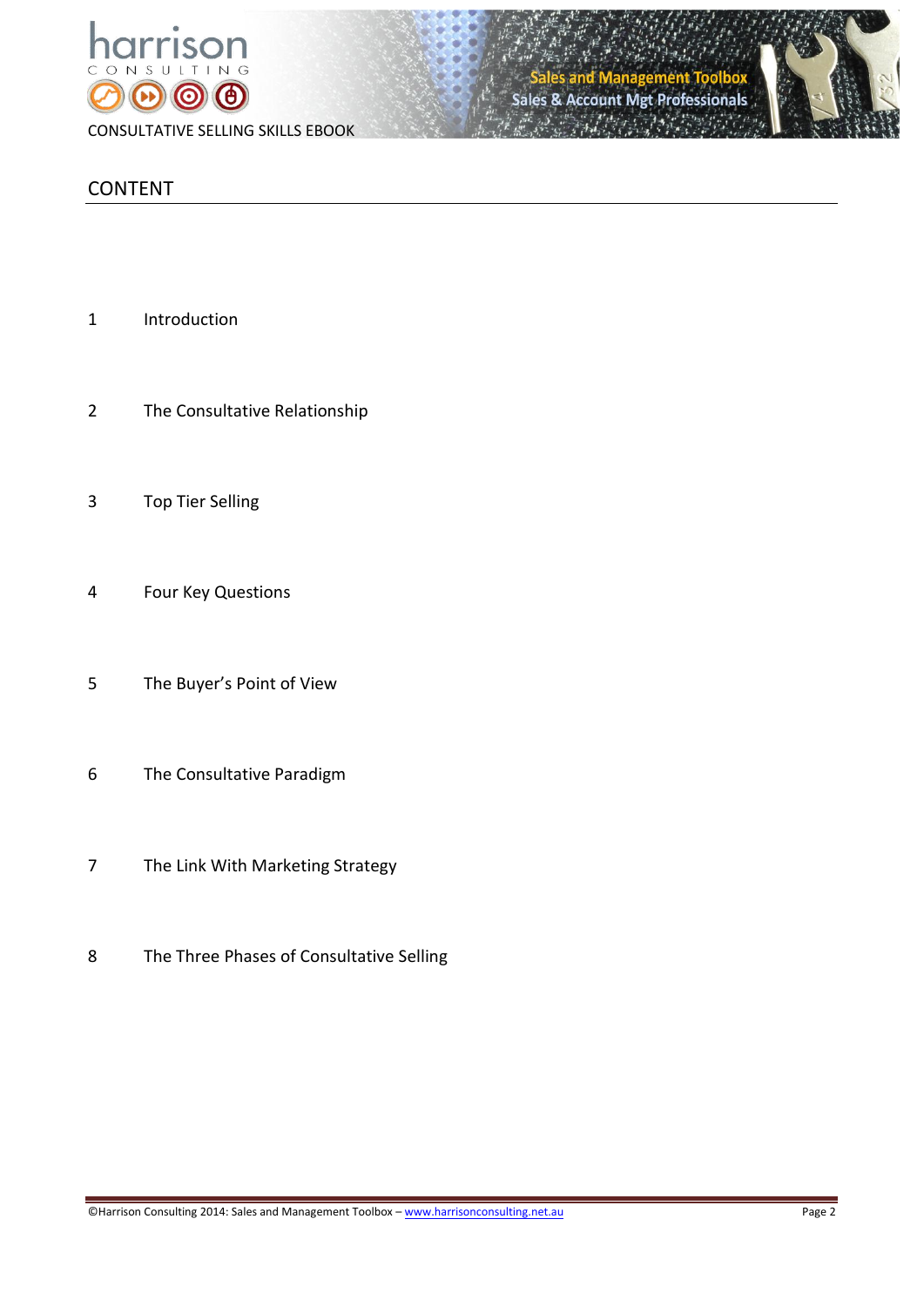

**Account Mgt Professionals** Sales &



# CONTENT

- Introduction
- The Consultative Relationship
- Top Tier Selling
- Four Key Questions
- The Buyer's Point of View
- The Consultative Paradigm
- The Link With Marketing Strategy
- The Three Phases of Consultative Selling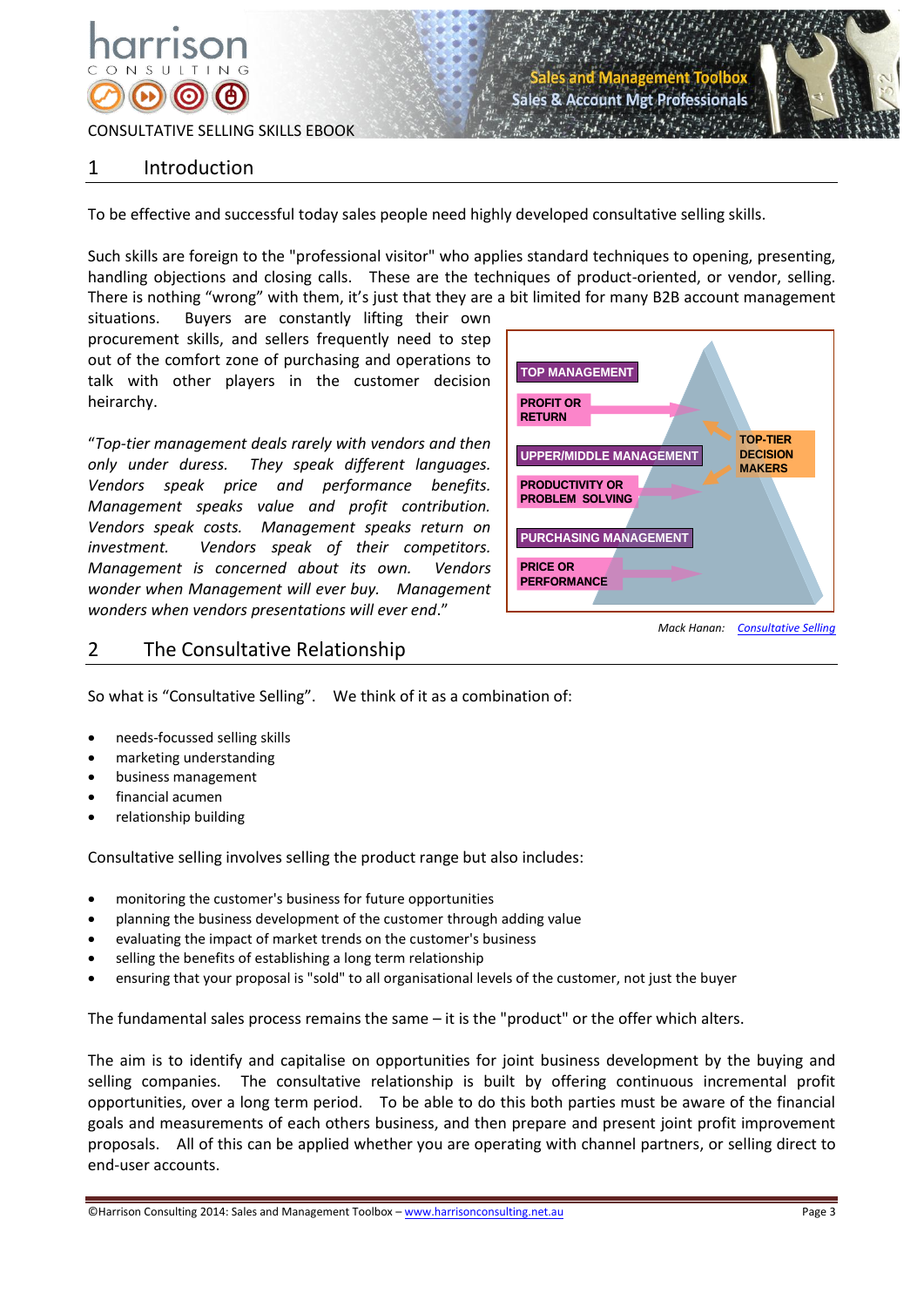# 1 Introduction

To be effective and successful today sales people need highly developed consultative selling skills.

Such skills are foreign to the "professional visitor" who applies standard techniques to opening, presenting, handling objections and closing calls. These are the techniques of product-oriented, or vendor, selling. There is nothing "wrong" with them, it's just that they are a bit limited for many B2B account management

situations. Buyers are constantly lifting their own procurement skills, and sellers frequently need to step out of the comfort zone of purchasing and operations to talk with other players in the customer decision heirarchy.

"*Top-tier management deals rarely with vendors and then only under duress. They speak different languages. Vendors speak price and performance benefits. Management speaks value and profit contribution. Vendors speak costs. Management speaks return on investment. Vendors speak of their competitors. Management is concerned about its own. Vendors wonder when Management will ever buy. Management wonders when vendors presentations will ever end*."



**Account Mgt Professionals** 

# 2 The Consultative Relationship



- needs-focussed selling skills
- marketing understanding
- business management
- financial acumen
- relationship building

Consultative selling involves selling the product range but also includes:

- monitoring the customer's business for future opportunities
- planning the business development of the customer through adding value
- evaluating the impact of market trends on the customer's business
- selling the benefits of establishing a long term relationship
- ensuring that your proposal is "sold" to all organisational levels of the customer, not just the buyer

The fundamental sales process remains the same – it is the "product" or the offer which alters.

The aim is to identify and capitalise on opportunities for joint business development by the buying and selling companies. The consultative relationship is built by offering continuous incremental profit opportunities, over a long term period. To be able to do this both parties must be aware of the financial goals and measurements of each others business, and then prepare and present joint profit improvement proposals. All of this can be applied whether you are operating with channel partners, or selling direct to end-user accounts.

©Harrison Consulting 2014: Sales and Management Toolbox – www.harrisonconsulting.net.au Page 3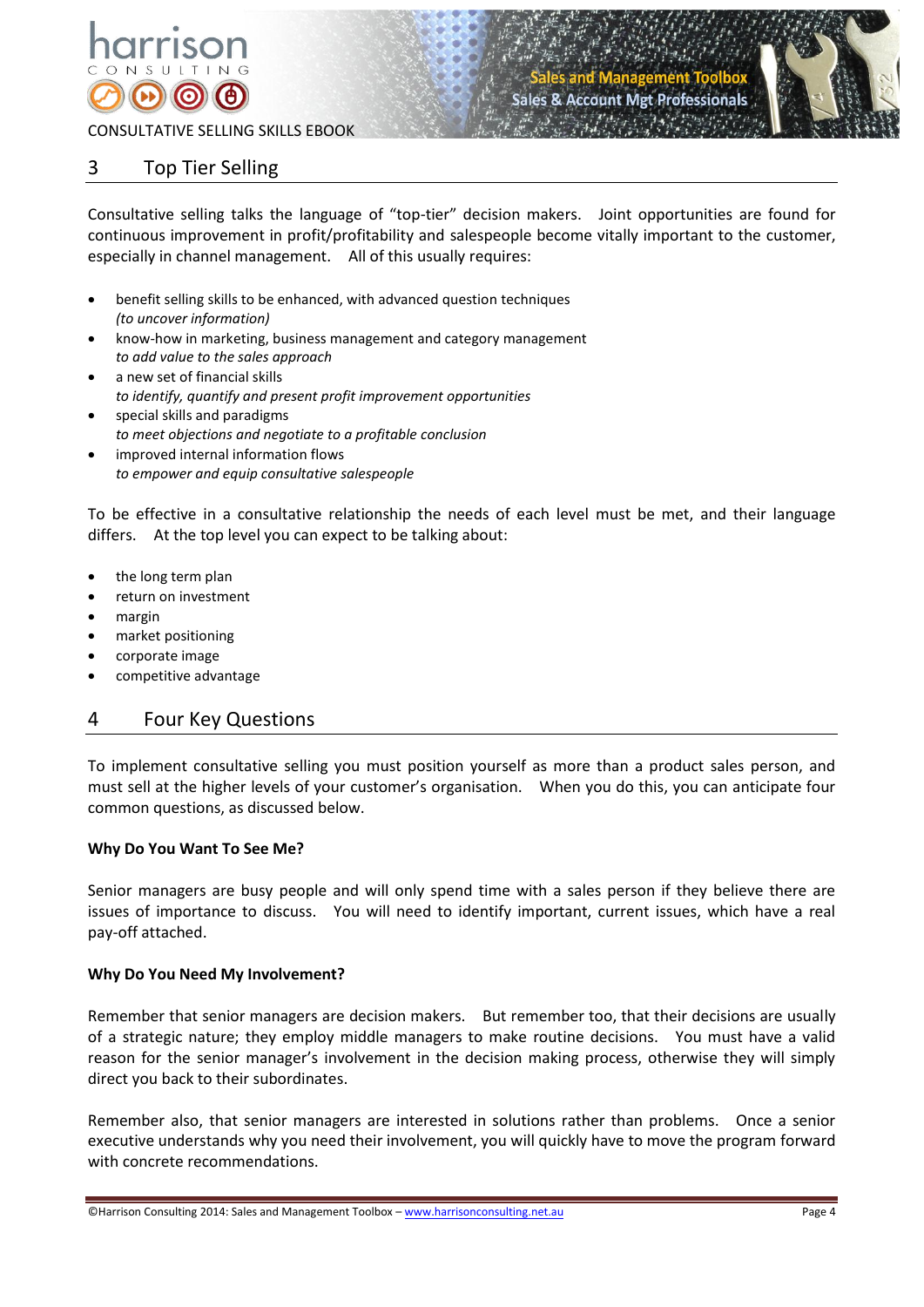

**Account Met Professionals** 



CONSULTATIVE SELLING SKILLS EBOOK

# 3 Top Tier Selling

Consultative selling talks the language of "top-tier" decision makers. Joint opportunities are found for continuous improvement in profit/profitability and salespeople become vitally important to the customer, especially in channel management. All of this usually requires:

- benefit selling skills to be enhanced, with advanced question techniques *(to uncover information)*
- know-how in marketing, business management and category management *to add value to the sales approach*
- a new set of financial skills *to identify, quantify and present profit improvement opportunities*
- special skills and paradigms *to meet objections and negotiate to a profitable conclusion* improved internal information flows
- *to empower and equip consultative salespeople*

To be effective in a consultative relationship the needs of each level must be met, and their language differs. At the top level you can expect to be talking about:

- the long term plan
- return on investment
- margin
- market positioning
- corporate image
- competitive advantage

# 4 Four Key Questions

To implement consultative selling you must position yourself as more than a product sales person, and must sell at the higher levels of your customer's organisation. When you do this, you can anticipate four common questions, as discussed below.

# **Why Do You Want To See Me?**

Senior managers are busy people and will only spend time with a sales person if they believe there are issues of importance to discuss. You will need to identify important, current issues, which have a real pay-off attached.

## **Why Do You Need My Involvement?**

Remember that senior managers are decision makers. But remember too, that their decisions are usually of a strategic nature; they employ middle managers to make routine decisions. You must have a valid reason for the senior manager's involvement in the decision making process, otherwise they will simply direct you back to their subordinates.

Remember also, that senior managers are interested in solutions rather than problems. Once a senior executive understands why you need their involvement, you will quickly have to move the program forward with concrete recommendations.

©Harrison Consulting 2014: Sales and Management Toolbox – www.harrisonconsulting.net.au Page 4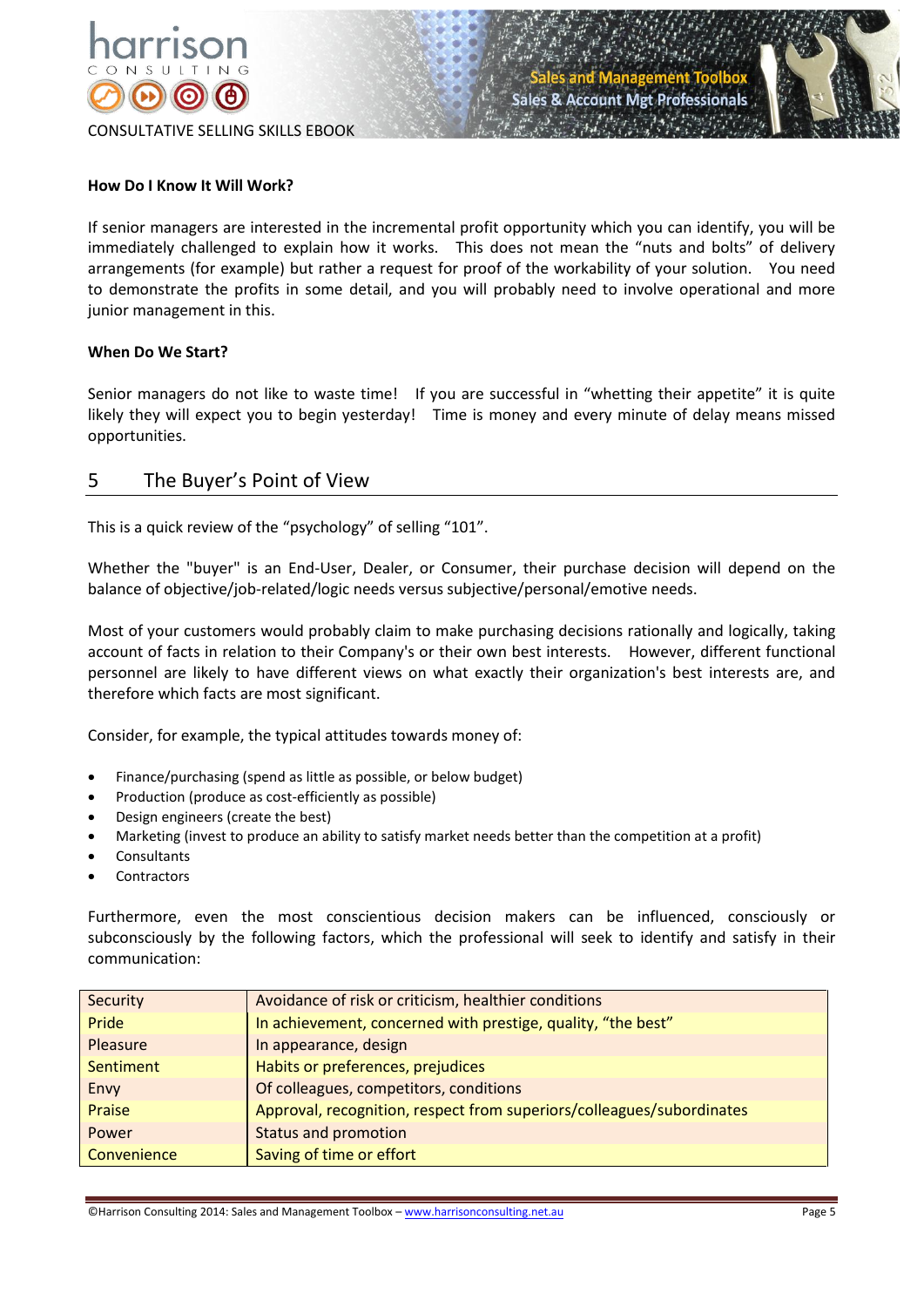



#### **How Do I Know It Will Work?**

If senior managers are interested in the incremental profit opportunity which you can identify, you will be immediately challenged to explain how it works. This does not mean the "nuts and bolts" of delivery arrangements (for example) but rather a request for proof of the workability of your solution. You need to demonstrate the profits in some detail, and you will probably need to involve operational and more junior management in this.

#### **When Do We Start?**

Senior managers do not like to waste time! If you are successful in "whetting their appetite" it is quite likely they will expect you to begin yesterday! Time is money and every minute of delay means missed opportunities.

# 5 The Buyer's Point of View

This is a quick review of the "psychology" of selling "101".

Whether the "buyer" is an End-User, Dealer, or Consumer, their purchase decision will depend on the balance of objective/job-related/logic needs versus subjective/personal/emotive needs.

Most of your customers would probably claim to make purchasing decisions rationally and logically, taking account of facts in relation to their Company's or their own best interests. However, different functional personnel are likely to have different views on what exactly their organization's best interests are, and therefore which facts are most significant.

Consider, for example, the typical attitudes towards money of:

- Finance/purchasing (spend as little as possible, or below budget)
- Production (produce as cost-efficiently as possible)
- Design engineers (create the best)
- Marketing (invest to produce an ability to satisfy market needs better than the competition at a profit)
- Consultants
- **Contractors**

Furthermore, even the most conscientious decision makers can be influenced, consciously or subconsciously by the following factors, which the professional will seek to identify and satisfy in their communication:

| Security    | Avoidance of risk or criticism, healthier conditions                  |
|-------------|-----------------------------------------------------------------------|
| Pride       | In achievement, concerned with prestige, quality, "the best"          |
| Pleasure    | In appearance, design                                                 |
| Sentiment   | Habits or preferences, prejudices                                     |
| Envy        | Of colleagues, competitors, conditions                                |
| Praise      | Approval, recognition, respect from superiors/colleagues/subordinates |
| Power       | <b>Status and promotion</b>                                           |
| Convenience | Saving of time or effort                                              |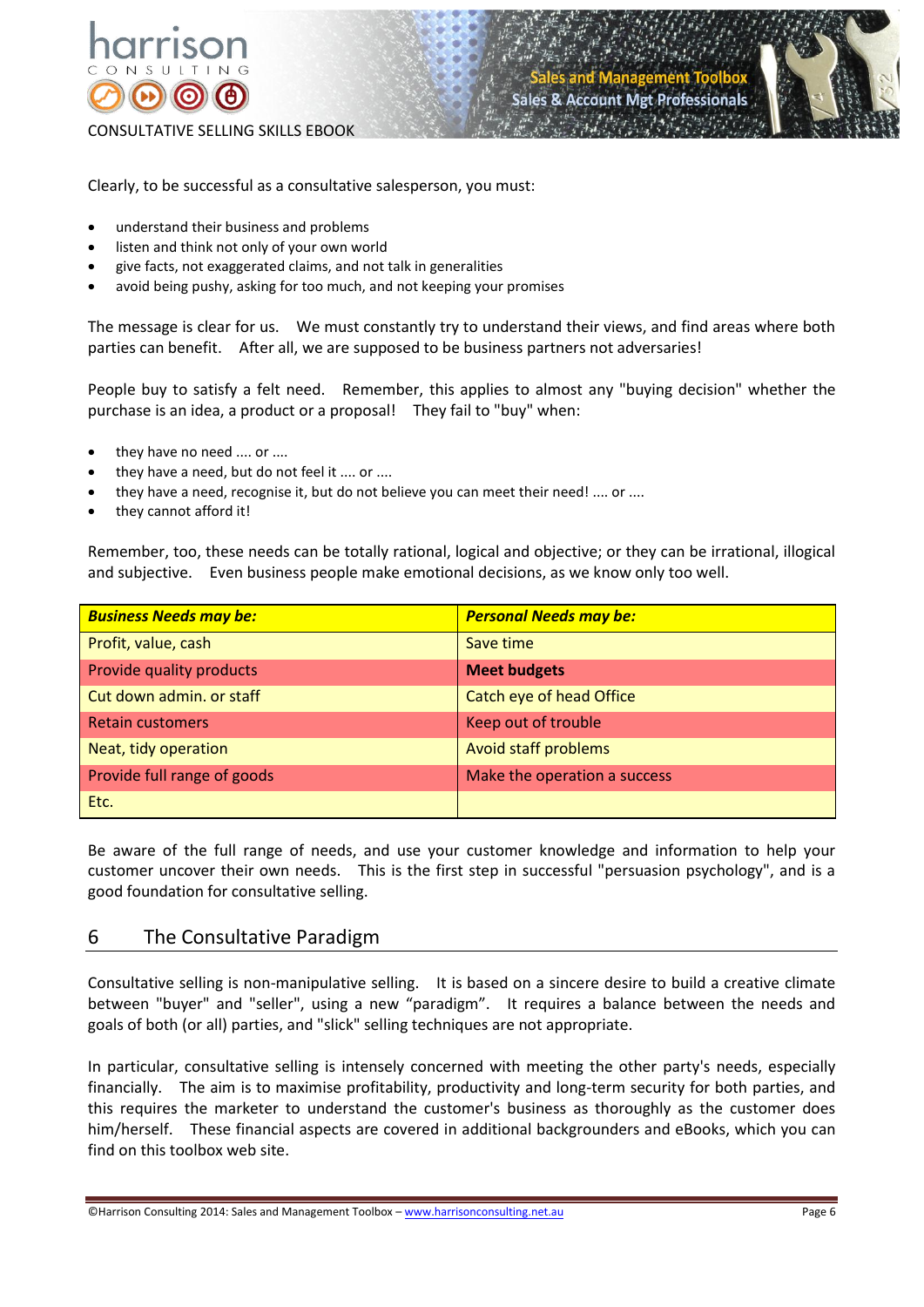



Clearly, to be successful as a consultative salesperson, you must:

- understand their business and problems
- listen and think not only of your own world
- give facts, not exaggerated claims, and not talk in generalities
- avoid being pushy, asking for too much, and not keeping your promises

The message is clear for us. We must constantly try to understand their views, and find areas where both parties can benefit. After all, we are supposed to be business partners not adversaries!

People buy to satisfy a felt need. Remember, this applies to almost any "buying decision" whether the purchase is an idea, a product or a proposal! They fail to "buy" when:

- they have no need .... or ....
- they have a need, but do not feel it .... or ....
- they have a need, recognise it, but do not believe you can meet their need! .... or ....
- they cannot afford it!

Remember, too, these needs can be totally rational, logical and objective; or they can be irrational, illogical and subjective. Even business people make emotional decisions, as we know only too well.

| <b>Business Needs may be:</b> | <b>Personal Needs may be:</b> |  |
|-------------------------------|-------------------------------|--|
| Profit, value, cash           | Save time                     |  |
| Provide quality products      | <b>Meet budgets</b>           |  |
| Cut down admin. or staff      | Catch eye of head Office      |  |
| <b>Retain customers</b>       | Keep out of trouble           |  |
| Neat, tidy operation          | Avoid staff problems          |  |
| Provide full range of goods   | Make the operation a success  |  |
| Etc.                          |                               |  |

Be aware of the full range of needs, and use your customer knowledge and information to help your customer uncover their own needs. This is the first step in successful "persuasion psychology", and is a good foundation for consultative selling.

# 6 The Consultative Paradigm

Consultative selling is non-manipulative selling. It is based on a sincere desire to build a creative climate between "buyer" and "seller", using a new "paradigm". It requires a balance between the needs and goals of both (or all) parties, and "slick" selling techniques are not appropriate.

In particular, consultative selling is intensely concerned with meeting the other party's needs, especially financially. The aim is to maximise profitability, productivity and long-term security for both parties, and this requires the marketer to understand the customer's business as thoroughly as the customer does him/herself. These financial aspects are covered in additional backgrounders and eBooks, which you can find on this toolbox web site.

©Harrison Consulting 2014: Sales and Management Toolbox – www.harrisonconsulting.net.au Page 6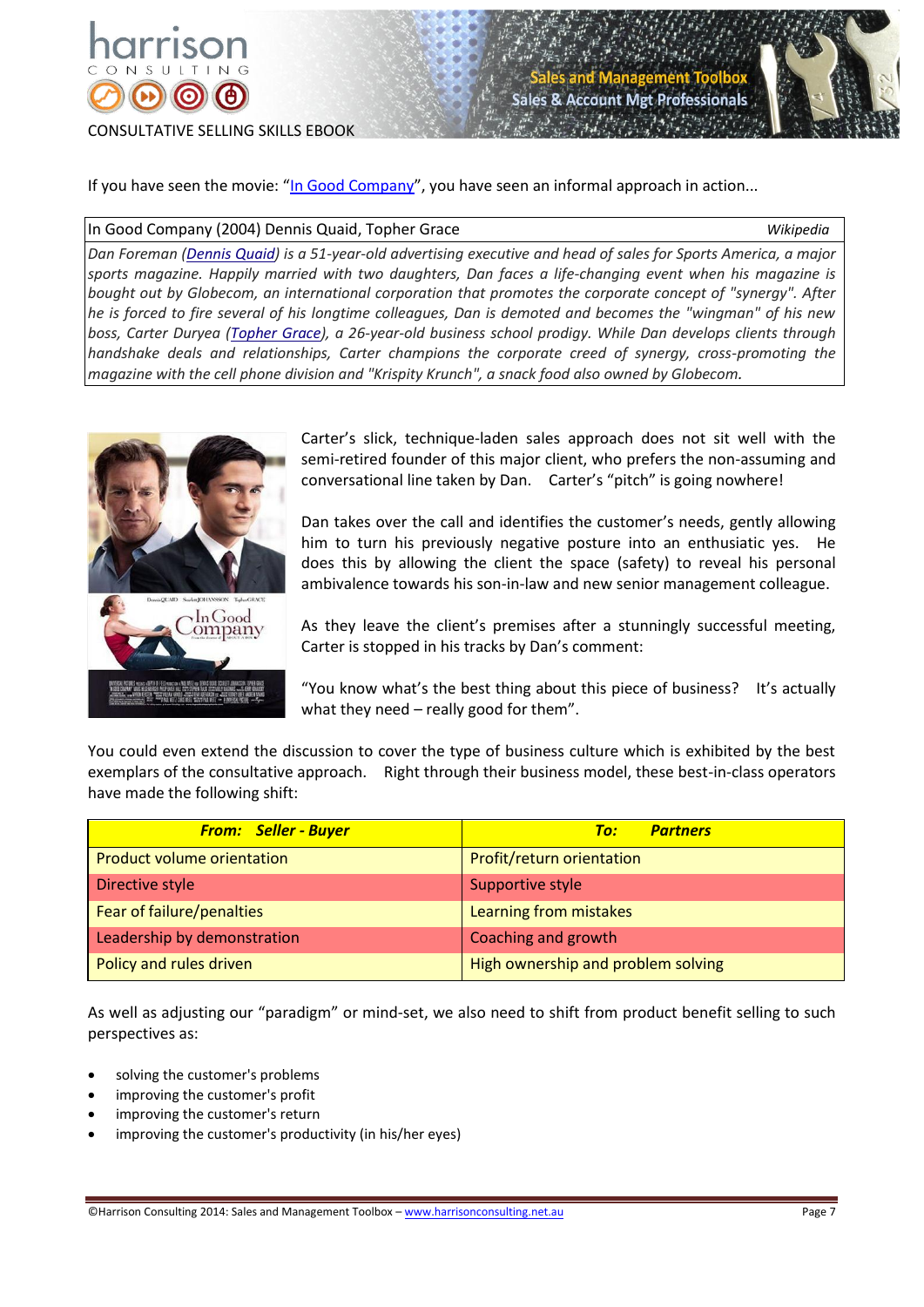



If you have seen the movie: "[In Good Company](http://www.imdb.com/title/tt0385267/)", you have seen an informal approach in action...

#### In Good Company (2004) Dennis Quaid, Topher Grace *Wikipedia*

*Dan Foreman [\(Dennis Quaid\)](http://en.wikipedia.org/wiki/Dennis_Quaid) is a 51-year-old advertising executive and head of sales for Sports America, a major sports magazine. Happily married with two daughters, Dan faces a life-changing event when his magazine is bought out by Globecom, an international corporation that promotes the corporate concept of "synergy". After he is forced to fire several of his longtime colleagues, Dan is demoted and becomes the "wingman" of his new boss, Carter Duryea [\(Topher Grace\)](http://en.wikipedia.org/wiki/Topher_Grace), a 26-year-old business school prodigy. While Dan develops clients through handshake deals and relationships, Carter champions the corporate creed of synergy, cross-promoting the magazine with the cell phone division and "Krispity Krunch", a snack food also owned by Globecom.*



Carter's slick, technique-laden sales approach does not sit well with the semi-retired founder of this major client, who prefers the non-assuming and conversational line taken by Dan. Carter's "pitch" is going nowhere!

Dan takes over the call and identifies the customer's needs, gently allowing him to turn his previously negative posture into an enthusiatic yes. He does this by allowing the client the space (safety) to reveal his personal ambivalence towards his son-in-law and new senior management colleague.

As they leave the client's premises after a stunningly successful meeting, Carter is stopped in his tracks by Dan's comment:

"You know what's the best thing about this piece of business? It's actually what they need – really good for them".

You could even extend the discussion to cover the type of business culture which is exhibited by the best exemplars of the consultative approach. Right through their business model, these best-in-class operators have made the following shift:

| <b>From: Seller - Buyer</b>       | <b>Partners</b><br>To:             |  |
|-----------------------------------|------------------------------------|--|
| <b>Product volume orientation</b> | Profit/return orientation          |  |
| Directive style                   | Supportive style                   |  |
| Fear of failure/penalties         | Learning from mistakes             |  |
| Leadership by demonstration       | Coaching and growth                |  |
| Policy and rules driven           | High ownership and problem solving |  |

As well as adjusting our "paradigm" or mind-set, we also need to shift from product benefit selling to such perspectives as:

- solving the customer's problems
- improving the customer's profit
- improving the customer's return
- improving the customer's productivity (in his/her eyes)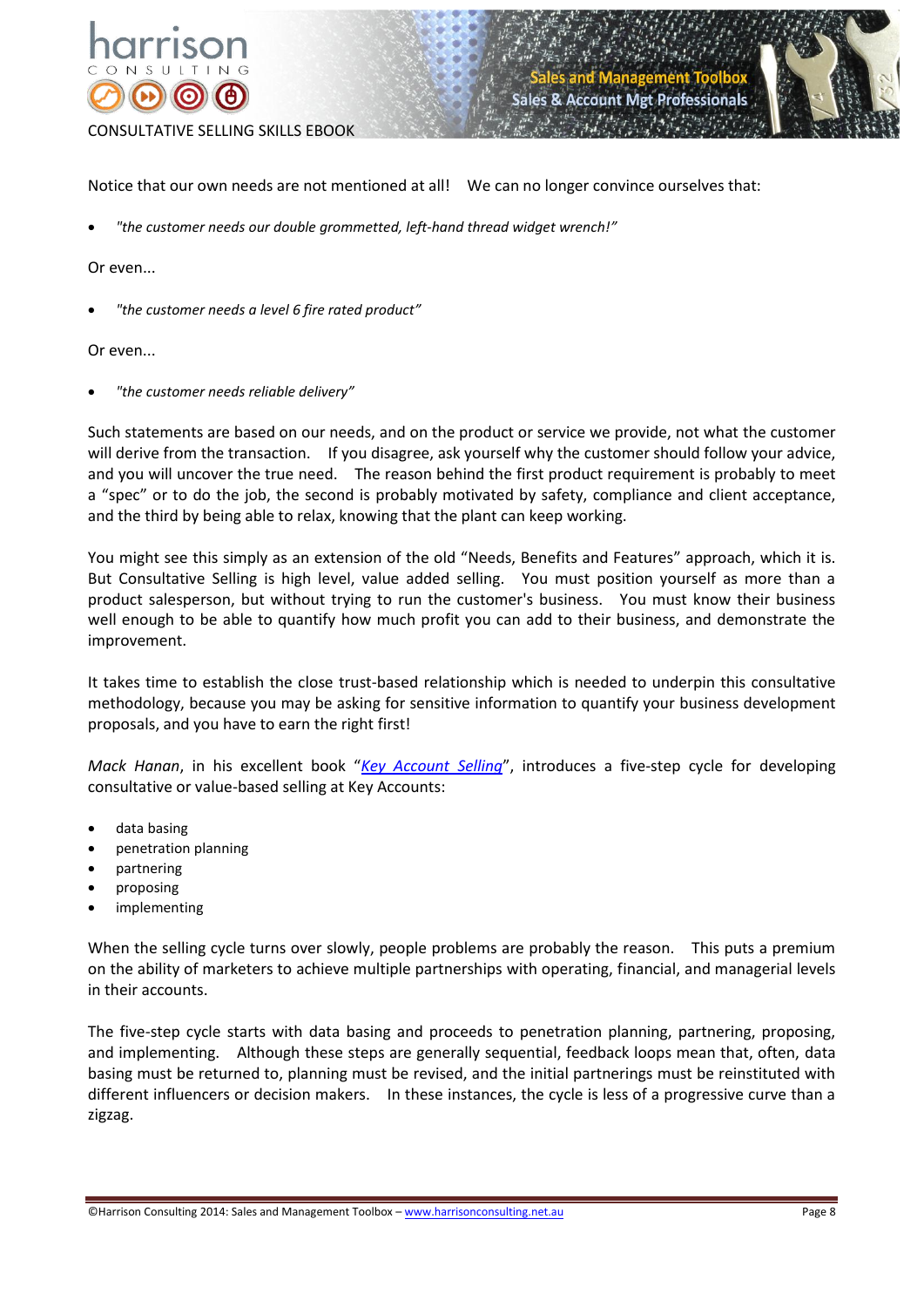



Notice that our own needs are not mentioned at all! We can no longer convince ourselves that:

*"the customer needs our double grommetted, left-hand thread widget wrench!"*

#### Or even...

*"the customer needs a level 6 fire rated product"*

#### Or even...

*"the customer needs reliable delivery"*

Such statements are based on our needs, and on the product or service we provide, not what the customer will derive from the transaction. If you disagree, ask yourself why the customer should follow your advice, and you will uncover the true need. The reason behind the first product requirement is probably to meet a "spec" or to do the job, the second is probably motivated by safety, compliance and client acceptance, and the third by being able to relax, knowing that the plant can keep working.

You might see this simply as an extension of the old "Needs, Benefits and Features" approach, which it is. But Consultative Selling is high level, value added selling. You must position yourself as more than a product salesperson, but without trying to run the customer's business. You must know their business well enough to be able to quantify how much profit you can add to their business, and demonstrate the improvement.

It takes time to establish the close trust-based relationship which is needed to underpin this consultative methodology, because you may be asking for sensitive information to quantify your business development proposals, and you have to earn the right first!

*Mack Hanan*, in his excellent book "*[Key Account Selling](http://www.amazon.com/Key-Account-Selling-Mack-Hanan/dp/081447828X)*", introduces a five-step cycle for developing consultative or value-based selling at Key Accounts:

- data basing
- penetration planning
- partnering
- proposing
- implementing

When the selling cycle turns over slowly, people problems are probably the reason. This puts a premium on the ability of marketers to achieve multiple partnerships with operating, financial, and managerial levels in their accounts.

The five-step cycle starts with data basing and proceeds to penetration planning, partnering, proposing, and implementing. Although these steps are generally sequential, feedback loops mean that, often, data basing must be returned to, planning must be revised, and the initial partnerings must be reinstituted with different influencers or decision makers. In these instances, the cycle is less of a progressive curve than a zigzag.

<sup>©</sup>Harrison Consulting 2014: Sales and Management Toolbox – www.harrisonconsulting.net.au Page 8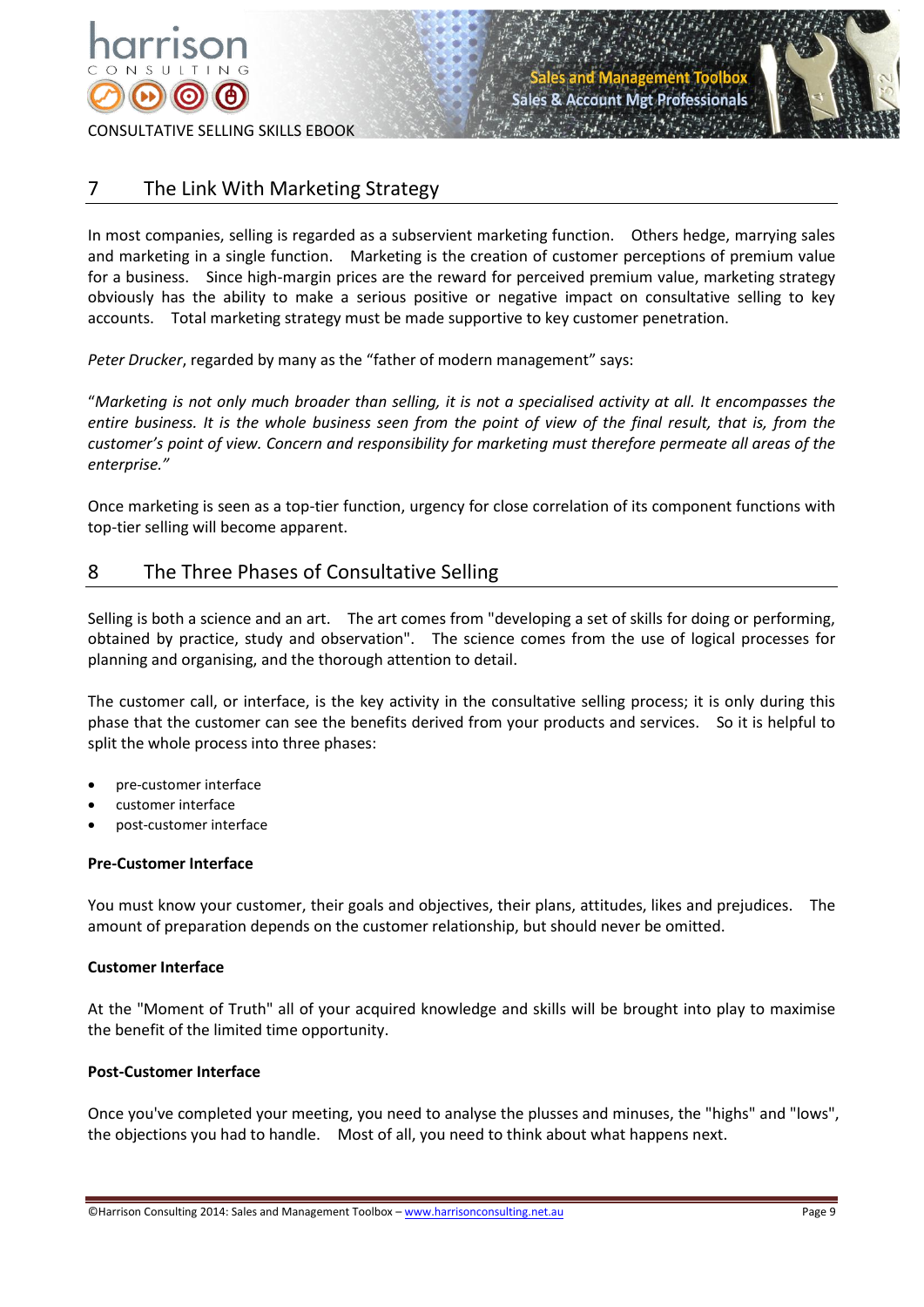



# 7 The Link With Marketing Strategy

In most companies, selling is regarded as a subservient marketing function. Others hedge, marrying sales and marketing in a single function. Marketing is the creation of customer perceptions of premium value for a business. Since high-margin prices are the reward for perceived premium value, marketing strategy obviously has the ability to make a serious positive or negative impact on consultative selling to key accounts. Total marketing strategy must be made supportive to key customer penetration.

*Peter Drucker*, regarded by many as the "father of modern management" says:

"*Marketing is not only much broader than selling, it is not a specialised activity at all. It encompasses the entire business. It is the whole business seen from the point of view of the final result, that is, from the customer's point of view. Concern and responsibility for marketing must therefore permeate all areas of the enterprise."*

Once marketing is seen as a top-tier function, urgency for close correlation of its component functions with top-tier selling will become apparent.

# 8 The Three Phases of Consultative Selling

Selling is both a science and an art. The art comes from "developing a set of skills for doing or performing, obtained by practice, study and observation". The science comes from the use of logical processes for planning and organising, and the thorough attention to detail.

The customer call, or interface, is the key activity in the consultative selling process; it is only during this phase that the customer can see the benefits derived from your products and services. So it is helpful to split the whole process into three phases:

- pre-customer interface
- customer interface
- post-customer interface

## **Pre-Customer Interface**

You must know your customer, their goals and objectives, their plans, attitudes, likes and prejudices. The amount of preparation depends on the customer relationship, but should never be omitted.

## **Customer Interface**

At the "Moment of Truth" all of your acquired knowledge and skills will be brought into play to maximise the benefit of the limited time opportunity.

## **Post-Customer Interface**

Once you've completed your meeting, you need to analyse the plusses and minuses, the "highs" and "lows", the objections you had to handle. Most of all, you need to think about what happens next.